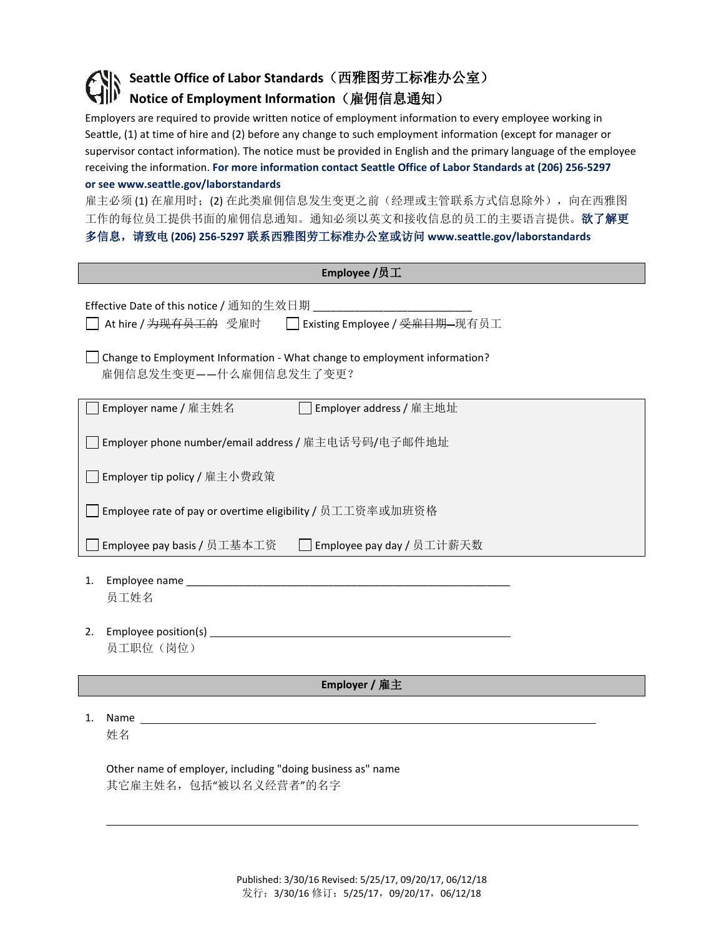## **Seattle Office of Labor Standards**(西雅图劳工标准办公室) **Notice of Employment Information**(雇佣信息通知)

Employers are required to provide written notice of employment information to every employee working in Seattle, (1) at time of hire and (2) before any change to such employment information (except for manager or supervisor contact information). The notice must be provided in English and the primary language of the employee receiving the information. **For more information contact Seattle Office of Labor Standards at (206) 256-5297** 

## **or see www.seattle.gov/laborstandards**

雇主必须(1) 在雇用时;(2) 在此类雇佣信息发生变更之前(经理或主管联系方式信息除外), 向在西雅图 工作的每位员工提供书面的雇佣信息通知。通知必须以英文和接收信息的员工的主要语言提供。欲了解更 多信息,请致电 **(206) 256-5297** 联系西雅图劳工标准办公室或访问 **www.seattle.gov/laborstandards**

| Employee /员工                                                                                                           |  |  |  |  |
|------------------------------------------------------------------------------------------------------------------------|--|--|--|--|
| Effective Date of this notice / 通知的生效日期<br>At hire / <del>为现有员工的</del> 受雇时 □ Existing Employee / <del>受雇日期</del> -现有员工 |  |  |  |  |
| Change to Employment Information - What change to employment information?<br>雇佣信息发生变更——什么雇佣信息发生了变更?                    |  |  |  |  |
| Employer name / 雇主姓名<br>□ Employer address / 雇主地址                                                                      |  |  |  |  |
| Employer phone number/email address / 雇主电话号码/电子邮件地址                                                                    |  |  |  |  |
| □ Employer tip policy / 雇主小费政策                                                                                         |  |  |  |  |
| ] Employee rate of pay or overtime eligibility / 员工工资率或加班资格                                                            |  |  |  |  |
| Employee pay basis / 员工基本工资 □ Employee pay day / 员工计薪天数                                                                |  |  |  |  |
| Employee name<br>1.<br>员工姓名                                                                                            |  |  |  |  |
| 2.<br>员工职位(岗位)                                                                                                         |  |  |  |  |
| Employer / 雇主                                                                                                          |  |  |  |  |
| 1.<br>姓名                                                                                                               |  |  |  |  |
| Other name of employer, including "doing business as" name                                                             |  |  |  |  |

Published: 3/30/16 Revised: 5/25/17, 09/20/17, 06/12/18 发行:3/30/16 修订:5/25/17,09/20/17,06/12/18

其它雇主姓名,包括"被以名义经营者"的名字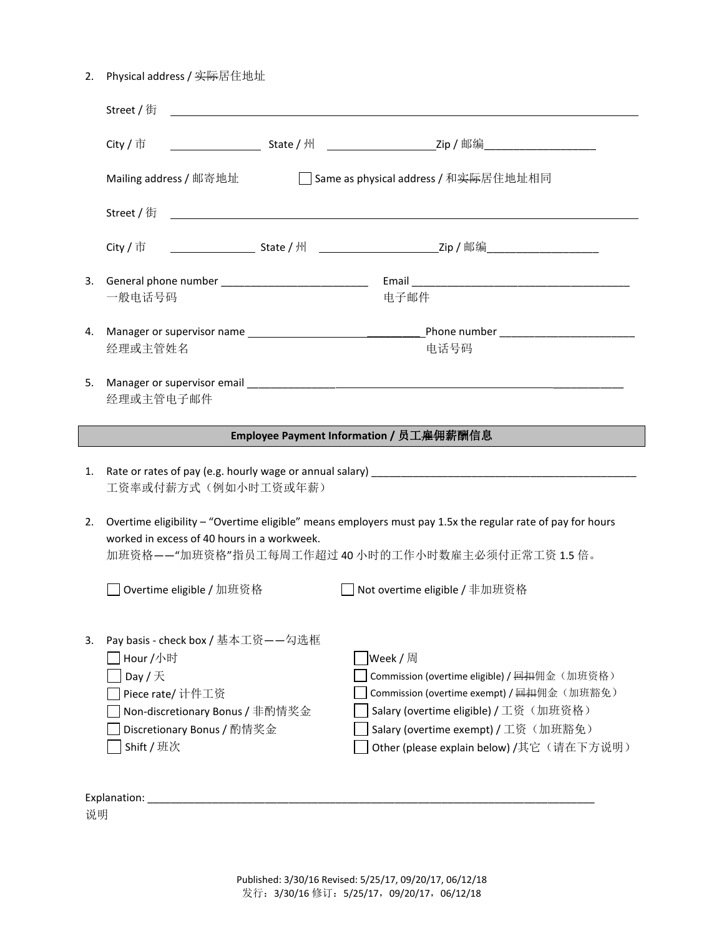| 2. | Physical address / 实 <del>际</del> 居住地址 |  |
|----|----------------------------------------|--|
|----|----------------------------------------|--|

|    | City / 市                                                                                                   |                                                                                                                      |                                                                                   |  |  |
|----|------------------------------------------------------------------------------------------------------------|----------------------------------------------------------------------------------------------------------------------|-----------------------------------------------------------------------------------|--|--|
|    | Mailing address / 邮寄地址                                                                                     | Same as physical address / 和 <del>实际</del> 居住地址相同                                                                    |                                                                                   |  |  |
|    | Street / 街                                                                                                 | <u> 1980 - Johann John Stein, marwolaeth a bhann an t-Amhainn an t-Amhainn an t-Amhainn an t-Amhainn an t-Amhain</u> |                                                                                   |  |  |
|    | City / 市                                                                                                   |                                                                                                                      |                                                                                   |  |  |
| 3. |                                                                                                            |                                                                                                                      |                                                                                   |  |  |
|    | 一般电话号码                                                                                                     |                                                                                                                      | 电子邮件                                                                              |  |  |
| 4. |                                                                                                            |                                                                                                                      |                                                                                   |  |  |
|    | 经理或主管姓名                                                                                                    |                                                                                                                      | 电话号码                                                                              |  |  |
| 5. |                                                                                                            |                                                                                                                      |                                                                                   |  |  |
|    | 经理或主管电子邮件                                                                                                  |                                                                                                                      |                                                                                   |  |  |
|    |                                                                                                            |                                                                                                                      | Employee Payment Information / 员工 <del>雇佣</del> 薪酬信息                              |  |  |
|    |                                                                                                            |                                                                                                                      |                                                                                   |  |  |
| 1. | 工资率或付薪方式(例如小时工资或年薪)                                                                                        |                                                                                                                      |                                                                                   |  |  |
| 2. | Overtime eligibility - "Overtime eligible" means employers must pay 1.5x the regular rate of pay for hours |                                                                                                                      |                                                                                   |  |  |
|    | worked in excess of 40 hours in a workweek.<br>加班资格--"加班资格"指员工每周工作超过40小时的工作小时数雇主必须付正常工资1.5倍。               |                                                                                                                      |                                                                                   |  |  |
|    |                                                                                                            |                                                                                                                      |                                                                                   |  |  |
|    | Overtime eligible / 加班资格                                                                                   |                                                                                                                      | Not overtime eligible / 非加班资格                                                     |  |  |
|    |                                                                                                            |                                                                                                                      |                                                                                   |  |  |
|    |                                                                                                            |                                                                                                                      |                                                                                   |  |  |
|    | Pay basis - check box / 基本工资——勾选框                                                                          |                                                                                                                      |                                                                                   |  |  |
|    | Hour /小时                                                                                                   |                                                                                                                      | Week / 周                                                                          |  |  |
|    | Day / $\overline{\mathcal{F}}$                                                                             |                                                                                                                      | Commission (overtime eligible) / <del>回扣</del> 佣金 (加班资格)                          |  |  |
|    | Piece rate/ 计件工资                                                                                           |                                                                                                                      | Commission (overtime exempt) / <del>回扣</del> 佣金(加班豁免)                             |  |  |
|    | Non-discretionary Bonus / 非酌情奖金                                                                            |                                                                                                                      | Salary (overtime eligible) / 工资(加班资格)                                             |  |  |
| 3. | Discretionary Bonus / 酌情奖金<br>Shift / 班次                                                                   |                                                                                                                      | Salary (overtime exempt) / 工资 (加班豁免)<br>Other (please explain below) /其它 (请在下方说明) |  |  |